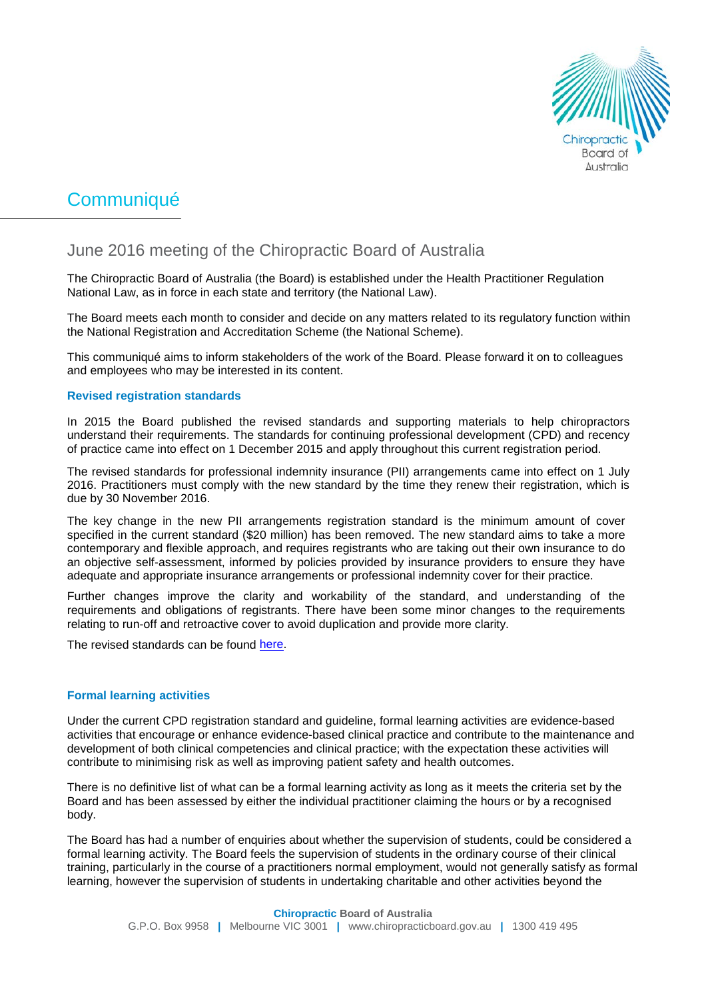

# Communiqué

# June 2016 meeting of the Chiropractic Board of Australia

The Chiropractic Board of Australia (the Board) is established under the Health Practitioner Regulation National Law, as in force in each state and territory (the National Law).

The Board meets each month to consider and decide on any matters related to its regulatory function within the National Registration and Accreditation Scheme (the National Scheme).

This communiqué aims to inform stakeholders of the work of the Board. Please forward it on to colleagues and employees who may be interested in its content.

### **Revised registration standards**

In 2015 the Board published the revised standards and supporting materials to help chiropractors understand their requirements. The standards for continuing professional development (CPD) and recency of practice came into effect on 1 December 2015 and apply throughout this current registration period.

The revised standards for professional indemnity insurance (PII) arrangements came into effect on 1 July 2016. Practitioners must comply with the new standard by the time they renew their registration, which is due by 30 November 2016.

The key change in the new PII arrangements registration standard is the minimum amount of cover specified in the current standard (\$20 million) has been removed. The new standard aims to take a more contemporary and flexible approach, and requires registrants who are taking out their own insurance to do an objective self-assessment, informed by policies provided by insurance providers to ensure they have adequate and appropriate insurance arrangements or professional indemnity cover for their practice.

Further changes improve the clarity and workability of the standard, and understanding of the requirements and obligations of registrants. There have been some minor changes to the requirements relating to run-off and retroactive cover to avoid duplication and provide more clarity.

The revised standards can be found [here.](http://www.chiropracticboard.gov.au/Registration-standards.aspx)

## **Formal learning activities**

Under the current CPD registration standard and guideline, formal learning activities are evidence-based activities that encourage or enhance evidence-based clinical practice and contribute to the maintenance and development of both clinical competencies and clinical practice; with the expectation these activities will contribute to minimising risk as well as improving patient safety and health outcomes.

There is no definitive list of what can be a formal learning activity as long as it meets the criteria set by the Board and has been assessed by either the individual practitioner claiming the hours or by a recognised body.

The Board has had a number of enquiries about whether the supervision of students, could be considered a formal learning activity. The Board feels the supervision of students in the ordinary course of their clinical training, particularly in the course of a practitioners normal employment, would not generally satisfy as formal learning, however the supervision of students in undertaking charitable and other activities beyond the